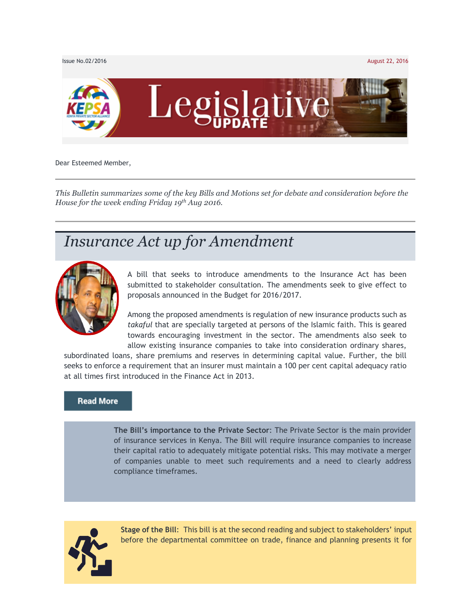

Dear Esteemed Member,

*This Bulletin summarizes some of the key Bills and Motions set for debate and consideration before the House for the week ending Friday 19th Aug 2016.*

## *Insurance Act up for Amendment*



A bill that seeks to introduce amendments to the Insurance Act has been submitted to stakeholder consultation. The amendments seek to give effect to proposals announced in the Budget for 2016/2017.

Among the proposed amendments is regulation of new insurance products such as *takaful* that are specially targeted at persons of the Islamic faith. This is geared towards encouraging investment in the sector. The amendments also seek to allow existing insurance companies to take into consideration ordinary shares,

subordinated loans, share premiums and reserves in determining capital value. Further, the bill seeks to enforce a requirement that an insurer must maintain a 100 per cent capital adequacy ratio at all times first introduced in the Finance Act in 2013.

#### **Read More**

**The Bill's importance to the Private Sector**: The Private Sector is the main provider of insurance services in Kenya. The Bill will require insurance companies to increase their capital ratio to adequately mitigate potential risks. This may motivate a merger of companies unable to meet such requirements and a need to clearly address compliance timeframes.



**Stage of the Bill**: This bill is at the second reading and subject to stakeholders' input before the departmental committee on trade, finance and planning presents it for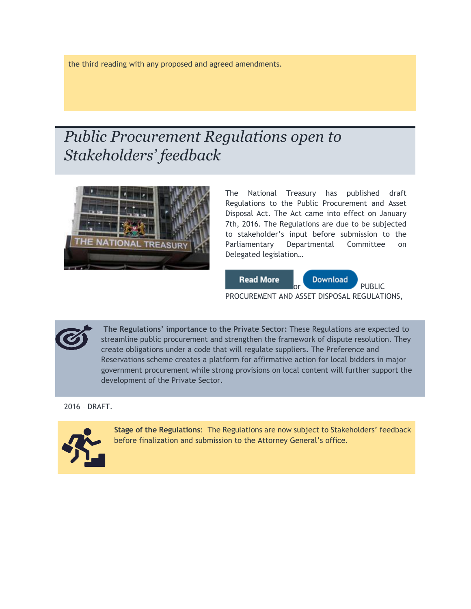the third reading with any proposed and agreed amendments.

# *Public Procurement Regulations open to Stakeholders' feedback*



The National Treasury has published draft Regulations to the Public Procurement and Asset Disposal Act. The Act came into effect on January 7th, 2016. The Regulations are due to be subjected to stakeholder's input before submission to the Parliamentary Departmental Committee on Delegated legislation…



**The Regulations' importance to the Private Sector:** These Regulations are expected to streamline public procurement and strengthen the framework of dispute resolution. They create obligations under a code that will regulate suppliers. The Preference and Reservations scheme creates a platform for affirmative action for local bidders in major government procurement while strong provisions on local content will further support the development of the Private Sector.

2016 – DRAFT.



**Stage of the Regulations**: The Regulations are now subject to Stakeholders' feedback before finalization and submission to the Attorney General's office.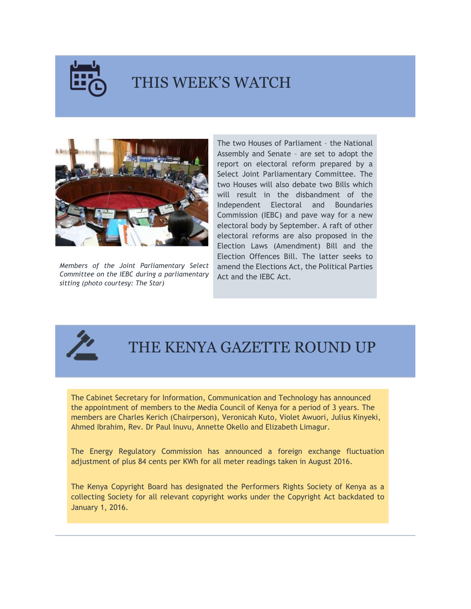

### THIS WEEK'S WATCH



*Members of the Joint Parliamentary Select Committee on the IEBC during a parliamentary sitting (photo courtesy: The Star)*

The two Houses of Parliament – the National Assembly and Senate – are set to adopt the report on electoral reform prepared by a Select Joint Parliamentary Committee. The two Houses will also debate two Bills which will result in the disbandment of the Independent Electoral and Boundaries Commission (IEBC) and pave way for a new electoral body by September. A raft of other electoral reforms are also proposed in the Election Laws (Amendment) Bill and the Election Offences Bill. The latter seeks to amend the Elections Act, the Political Parties Act and the IEBC Act.



### THE KENYA GAZETTE ROUND UP

The Cabinet Secretary for Information, Communication and Technology has announced the appointment of members to the Media Council of Kenya for a period of 3 years. The members are Charles Kerich (Chairperson), Veronicah Kuto, Violet Awuori, Julius Kinyeki, Ahmed Ibrahim, Rev. Dr Paul Inuvu, Annette Okello and Elizabeth Limagur.

The Energy Regulatory Commission has announced a foreign exchange fluctuation adjustment of plus 84 cents per KWh for all meter readings taken in August 2016.

The Kenya Copyright Board has designated the Performers Rights Society of Kenya as a collecting Society for all relevant copyright works under the Copyright Act backdated to January 1, 2016.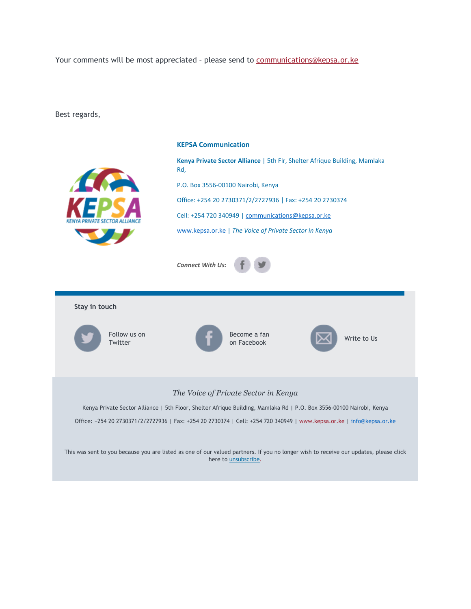Your comments will be most appreciated - please send to [communications@kepsa.or.ke](mailto:communications@kepsa.or.ke)

Best regards,



#### **KEPSA Communication**

**Kenya Private Sector Alliance** | 5th Flr, Shelter Afrique Building, Mamlaka Rd,

P.O. Box 3556-00100 Nairobi, Kenya

Office: +254 20 2730371/2/2727936 | Fax: +254 20 2730374

Cell: +254 720 340949 | [communications@kepsa.or.ke](mailto:communications@kepsa.or.ke)

[www.kepsa.or.ke](http://www.kepsa.or.ke/) | *The Voice of Private Sector in Kenya*



**Stay in touch** Follow us on **Twitter** Become a fan become a ran<br>on Facebook [W](mailto:communications@kepsa.or.ke)rite to Us

### *The Voice of Private Sector in Kenya*

Kenya Private Sector Alliance | 5th Floor, Shelter Afrique Building, Mamlaka Rd | P.O. Box 3556-00100 Nairobi, Kenya

Office: +254 20 2730371/2/2727936 | Fax: +254 20 2730374 | Cell: +254 720 340949 | [www.kepsa.or.ke](http://www.kepsa.or.ke/) | [info@kepsa.or.ke](mailto:info@kepsa.or.ke)

This was sent to you because you are listed as one of our valued partners. If you no longer wish to receive our updates, please click here to *unsubscribe*.